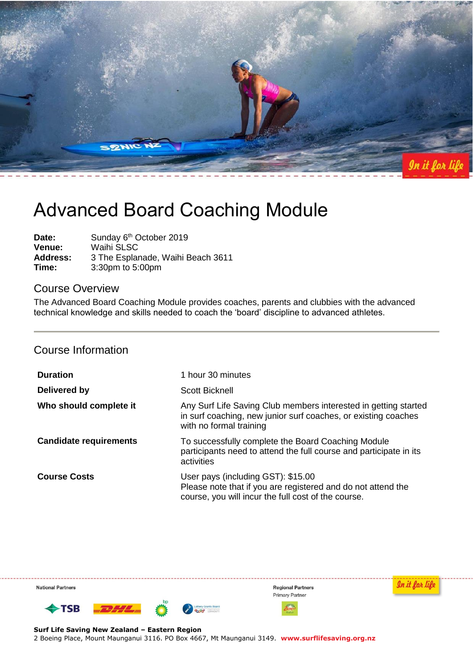

# Advanced Board Coaching Module

Date: Sunday 6<sup>th</sup> October 2019 **Venue:** Waihi SLSC **Address:** 3 The Esplanade, Waihi Beach 3611 **Time:** 3:30pm to 5:00pm

### Course Overview

The Advanced Board Coaching Module provides coaches, parents and clubbies with the advanced technical knowledge and skills needed to coach the 'board' discipline to advanced athletes.

# Course Information

| <b>Duration</b>               | 1 hour 30 minutes                                                                                                                                            |
|-------------------------------|--------------------------------------------------------------------------------------------------------------------------------------------------------------|
| Delivered by                  | Scott Bicknell                                                                                                                                               |
| Who should complete it        | Any Surf Life Saving Club members interested in getting started<br>in surf coaching, new junior surf coaches, or existing coaches<br>with no formal training |
| <b>Candidate requirements</b> | To successfully complete the Board Coaching Module<br>participants need to attend the full course and participate in its<br>activities                       |
| <b>Course Costs</b>           | User pays (including GST): \$15.00<br>Please note that if you are registered and do not attend the<br>course, you will incur the full cost of the course.    |